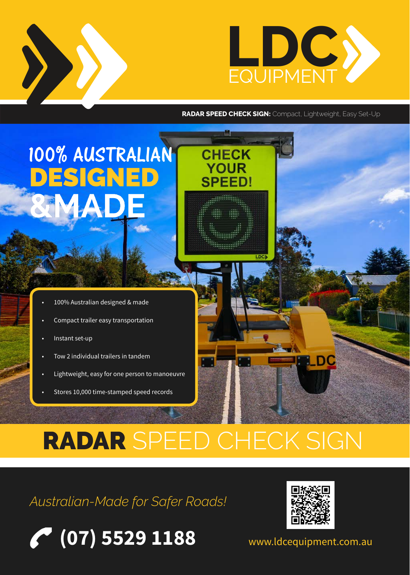

**RADAR SPEED CHECK SIGN:** Compact, Lightweight, Easy Set-Up

**CHECK YOUR** 

**SPEED!** 

<u>immuil</u>i

# 100% AUSTRALIAN DESIGNED

- 100% Australian designed & made
- Compact trailer easy transportation
- Instant set-up

D

- Tow 2 individual trailers in tandem
- Lightweight, easy for one person to manoeuvre
- Stores 10,000 time-stamped speed records

# RADAR SPEED CHECK SIGN

# *Australian-Made for Safer Roads!*





DIC

www.ldcequipment.com.au